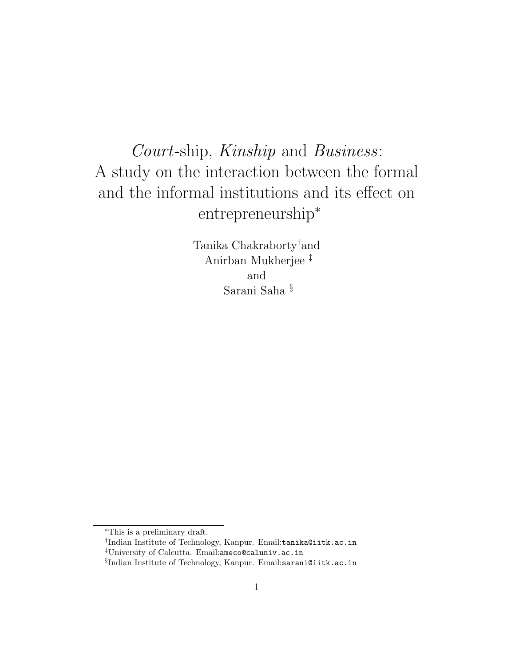# Court-ship, Kinship and Business: A study on the interaction between the formal and the informal institutions and its effect on entrepreneurship<sup>∗</sup>

Tanika Chakraborty†and Anirban Mukherjee ‡ and Sarani Saha §

<sup>∗</sup>This is a preliminary draft.

<sup>†</sup> Indian Institute of Technology, Kanpur. Email:tanika@iitk.ac.in ‡University of Calcutta. Email:ameco@caluniv.ac.in

 $\S$ Indian Institute of Technology, Kanpur. Email:sarani@iitk.ac.in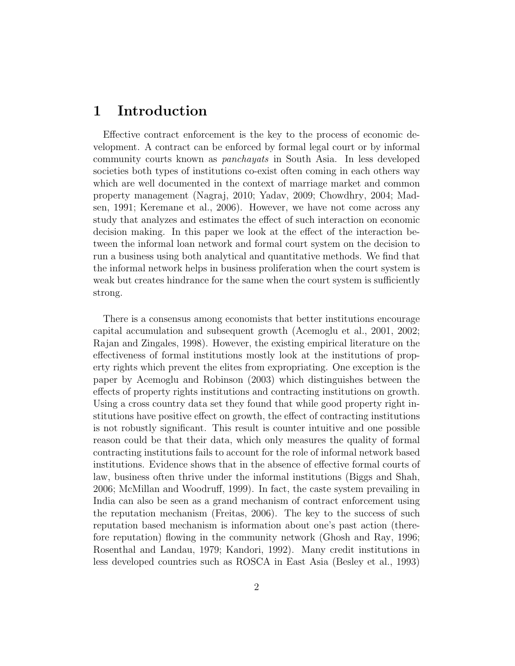### 1 Introduction

Effective contract enforcement is the key to the process of economic development. A contract can be enforced by formal legal court or by informal community courts known as panchayats in South Asia. In less developed societies both types of institutions co-exist often coming in each others way which are well documented in the context of marriage market and common property management (Nagraj, 2010; Yadav, 2009; Chowdhry, 2004; Madsen, 1991; Keremane et al., 2006). However, we have not come across any study that analyzes and estimates the effect of such interaction on economic decision making. In this paper we look at the effect of the interaction between the informal loan network and formal court system on the decision to run a business using both analytical and quantitative methods. We find that the informal network helps in business proliferation when the court system is weak but creates hindrance for the same when the court system is sufficiently strong.

There is a consensus among economists that better institutions encourage capital accumulation and subsequent growth (Acemoglu et al., 2001, 2002; Rajan and Zingales, 1998). However, the existing empirical literature on the effectiveness of formal institutions mostly look at the institutions of property rights which prevent the elites from expropriating. One exception is the paper by Acemoglu and Robinson (2003) which distinguishes between the effects of property rights institutions and contracting institutions on growth. Using a cross country data set they found that while good property right institutions have positive effect on growth, the effect of contracting institutions is not robustly significant. This result is counter intuitive and one possible reason could be that their data, which only measures the quality of formal contracting institutions fails to account for the role of informal network based institutions. Evidence shows that in the absence of effective formal courts of law, business often thrive under the informal institutions (Biggs and Shah, 2006; McMillan and Woodruff, 1999). In fact, the caste system prevailing in India can also be seen as a grand mechanism of contract enforcement using the reputation mechanism (Freitas, 2006). The key to the success of such reputation based mechanism is information about one's past action (therefore reputation) flowing in the community network (Ghosh and Ray, 1996; Rosenthal and Landau, 1979; Kandori, 1992). Many credit institutions in less developed countries such as ROSCA in East Asia (Besley et al., 1993)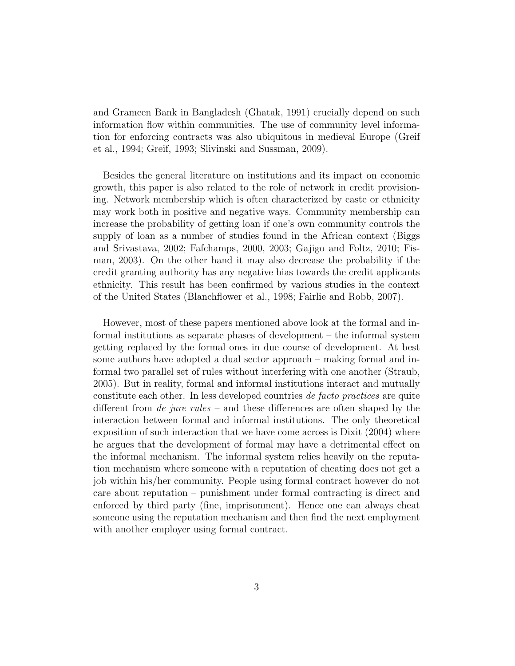and Grameen Bank in Bangladesh (Ghatak, 1991) crucially depend on such information flow within communities. The use of community level information for enforcing contracts was also ubiquitous in medieval Europe (Greif et al., 1994; Greif, 1993; Slivinski and Sussman, 2009).

Besides the general literature on institutions and its impact on economic growth, this paper is also related to the role of network in credit provisioning. Network membership which is often characterized by caste or ethnicity may work both in positive and negative ways. Community membership can increase the probability of getting loan if one's own community controls the supply of loan as a number of studies found in the African context (Biggs and Srivastava, 2002; Fafchamps, 2000, 2003; Gajigo and Foltz, 2010; Fisman, 2003). On the other hand it may also decrease the probability if the credit granting authority has any negative bias towards the credit applicants ethnicity. This result has been confirmed by various studies in the context of the United States (Blanchflower et al., 1998; Fairlie and Robb, 2007).

However, most of these papers mentioned above look at the formal and informal institutions as separate phases of development – the informal system getting replaced by the formal ones in due course of development. At best some authors have adopted a dual sector approach – making formal and informal two parallel set of rules without interfering with one another (Straub, 2005). But in reality, formal and informal institutions interact and mutually constitute each other. In less developed countries de facto practices are quite different from *de jure rules* – and these differences are often shaped by the interaction between formal and informal institutions. The only theoretical exposition of such interaction that we have come across is Dixit (2004) where he argues that the development of formal may have a detrimental effect on the informal mechanism. The informal system relies heavily on the reputation mechanism where someone with a reputation of cheating does not get a job within his/her community. People using formal contract however do not care about reputation – punishment under formal contracting is direct and enforced by third party (fine, imprisonment). Hence one can always cheat someone using the reputation mechanism and then find the next employment with another employer using formal contract.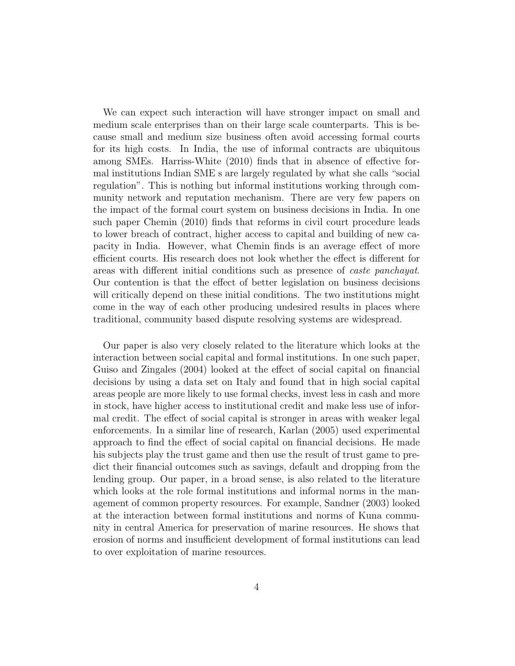We can expect such interaction will have stronger impact on small and medium scale enterprises than on their large scale counterparts. This is because small and medium size business often avoid accessing formal courts for its high costs. In India, the use of informal contracts are ubiquitous among SMEs. Harriss-White (2010) finds that in absence of effective formal institutions Indian SME s are largely regulated by what she calls "social regulation". This is nothing but informal institutions working through community network and reputation mechanism. There are very few papers on the impact of the formal court system on business decisions in India. In one such paper Chemin (2010) finds that reforms in civil court procedure leads to lower breach of contract, higher access to capital and building of new capacity in India. However, what Chemin finds is an average effect of more efficient courts. His research does not look whether the effect is different for areas with different initial conditions such as presence of caste panchayat. Our contention is that the effect of better legislation on business decisions will critically depend on these initial conditions. The two institutions might come in the way of each other producing undesired results in places where traditional, community based dispute resolving systems are widespread.

Our paper is also very closely related to the literature which looks at the interaction between social capital and formal institutions. In one such paper, Guiso and Zingales (2004) looked at the effect of social capital on financial decisions by using a data set on Italy and found that in high social capital areas people are more likely to use formal checks, invest less in cash and more in stock, have higher access to institutional credit and make less use of informal credit. The effect of social capital is stronger in areas with weaker legal enforcements. In a similar line of research, Karlan (2005) used experimental approach to find the effect of social capital on financial decisions. He made his subjects play the trust game and then use the result of trust game to predict their financial outcomes such as savings, default and dropping from the lending group. Our paper, in a broad sense, is also related to the literature which looks at the role formal institutions and informal norms in the management of common property resources. For example, Sandner (2003) looked at the interaction between formal institutions and norms of Kuna community in central America for preservation of marine resources. He shows that erosion of norms and insufficient development of formal institutions can lead to over exploitation of marine resources.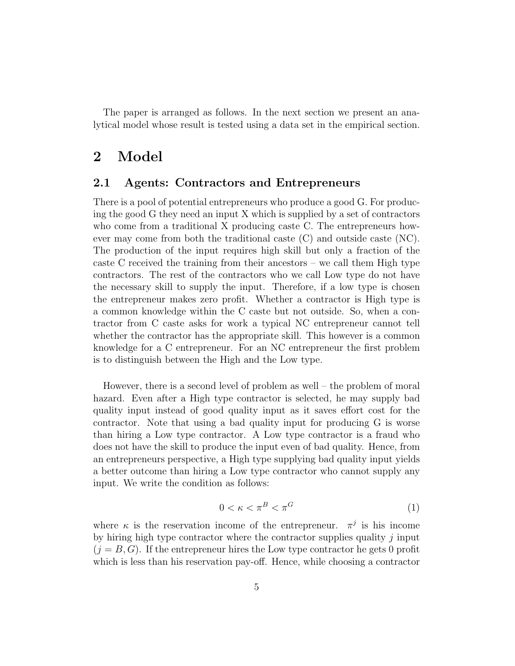The paper is arranged as follows. In the next section we present an analytical model whose result is tested using a data set in the empirical section.

### 2 Model

#### 2.1 Agents: Contractors and Entrepreneurs

There is a pool of potential entrepreneurs who produce a good G. For producing the good G they need an input X which is supplied by a set of contractors who come from a traditional X producing caste C. The entrepreneurs however may come from both the traditional caste (C) and outside caste (NC). The production of the input requires high skill but only a fraction of the caste C received the training from their ancestors – we call them High type contractors. The rest of the contractors who we call Low type do not have the necessary skill to supply the input. Therefore, if a low type is chosen the entrepreneur makes zero profit. Whether a contractor is High type is a common knowledge within the C caste but not outside. So, when a contractor from C caste asks for work a typical NC entrepreneur cannot tell whether the contractor has the appropriate skill. This however is a common knowledge for a C entrepreneur. For an NC entrepreneur the first problem is to distinguish between the High and the Low type.

However, there is a second level of problem as well – the problem of moral hazard. Even after a High type contractor is selected, he may supply bad quality input instead of good quality input as it saves effort cost for the contractor. Note that using a bad quality input for producing G is worse than hiring a Low type contractor. A Low type contractor is a fraud who does not have the skill to produce the input even of bad quality. Hence, from an entrepreneurs perspective, a High type supplying bad quality input yields a better outcome than hiring a Low type contractor who cannot supply any input. We write the condition as follows:

$$
0 < \kappa < \pi^B < \pi^G \tag{1}
$$

where  $\kappa$  is the reservation income of the entrepreneur.  $\pi^{j}$  is his income by hiring high type contractor where the contractor supplies quality  $j$  input  $(j = B, G)$ . If the entrepreneur hires the Low type contractor he gets 0 profit which is less than his reservation pay-off. Hence, while choosing a contractor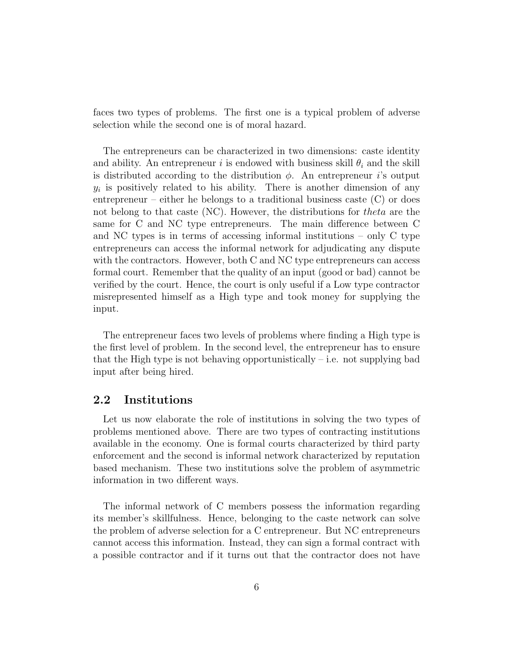faces two types of problems. The first one is a typical problem of adverse selection while the second one is of moral hazard.

The entrepreneurs can be characterized in two dimensions: caste identity and ability. An entrepreneur i is endowed with business skill  $\theta_i$  and the skill is distributed according to the distribution  $\phi$ . An entrepreneur *i*'s output  $y_i$  is positively related to his ability. There is another dimension of any entrepreneur – either he belongs to a traditional business caste (C) or does not belong to that caste (NC). However, the distributions for theta are the same for C and NC type entrepreneurs. The main difference between C and NC types is in terms of accessing informal institutions – only C type entrepreneurs can access the informal network for adjudicating any dispute with the contractors. However, both C and NC type entrepreneurs can access formal court. Remember that the quality of an input (good or bad) cannot be verified by the court. Hence, the court is only useful if a Low type contractor misrepresented himself as a High type and took money for supplying the input.

The entrepreneur faces two levels of problems where finding a High type is the first level of problem. In the second level, the entrepreneur has to ensure that the High type is not behaving opportunistically  $-$  i.e. not supplying bad input after being hired.

#### 2.2 Institutions

Let us now elaborate the role of institutions in solving the two types of problems mentioned above. There are two types of contracting institutions available in the economy. One is formal courts characterized by third party enforcement and the second is informal network characterized by reputation based mechanism. These two institutions solve the problem of asymmetric information in two different ways.

The informal network of C members possess the information regarding its member's skillfulness. Hence, belonging to the caste network can solve the problem of adverse selection for a C entrepreneur. But NC entrepreneurs cannot access this information. Instead, they can sign a formal contract with a possible contractor and if it turns out that the contractor does not have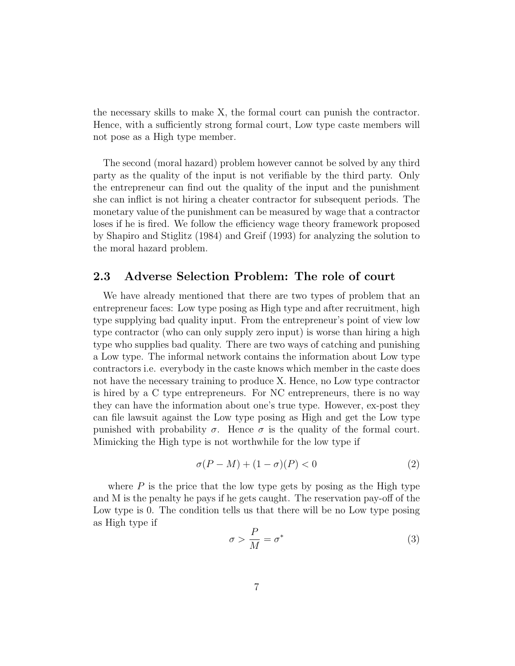the necessary skills to make X, the formal court can punish the contractor. Hence, with a sufficiently strong formal court, Low type caste members will not pose as a High type member.

The second (moral hazard) problem however cannot be solved by any third party as the quality of the input is not verifiable by the third party. Only the entrepreneur can find out the quality of the input and the punishment she can inflict is not hiring a cheater contractor for subsequent periods. The monetary value of the punishment can be measured by wage that a contractor loses if he is fired. We follow the efficiency wage theory framework proposed by Shapiro and Stiglitz (1984) and Greif (1993) for analyzing the solution to the moral hazard problem.

#### 2.3 Adverse Selection Problem: The role of court

We have already mentioned that there are two types of problem that an entrepreneur faces: Low type posing as High type and after recruitment, high type supplying bad quality input. From the entrepreneur's point of view low type contractor (who can only supply zero input) is worse than hiring a high type who supplies bad quality. There are two ways of catching and punishing a Low type. The informal network contains the information about Low type contractors i.e. everybody in the caste knows which member in the caste does not have the necessary training to produce X. Hence, no Low type contractor is hired by a C type entrepreneurs. For NC entrepreneurs, there is no way they can have the information about one's true type. However, ex-post they can file lawsuit against the Low type posing as High and get the Low type punished with probability  $\sigma$ . Hence  $\sigma$  is the quality of the formal court. Mimicking the High type is not worthwhile for the low type if

$$
\sigma(P - M) + (1 - \sigma)(P) < 0 \tag{2}
$$

where  $P$  is the price that the low type gets by posing as the High type and M is the penalty he pays if he gets caught. The reservation pay-off of the Low type is 0. The condition tells us that there will be no Low type posing as High type if

$$
\sigma > \frac{P}{M} = \sigma^* \tag{3}
$$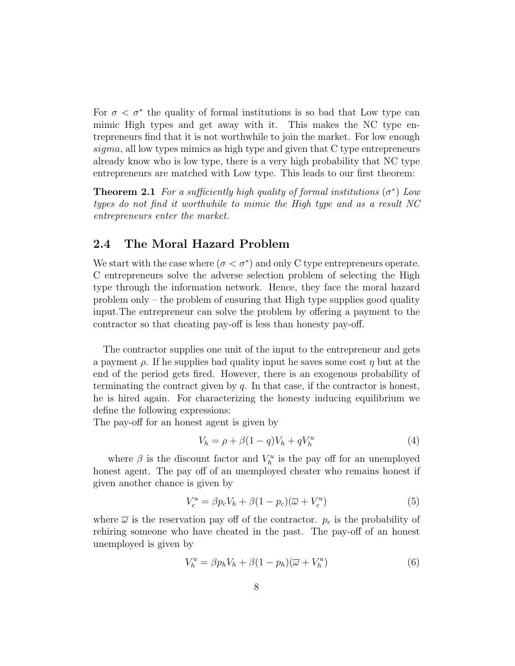For  $\sigma < \sigma^*$  the quality of formal institutions is so bad that Low type can mimic High types and get away with it. This makes the NC type entrepreneurs find that it is not worthwhile to join the market. For low enough sigma, all low types mimics as high type and given that C type entrepreneurs already know who is low type, there is a very high probability that NC type entrepreneurs are matched with Low type. This leads to our first theorem:

**Theorem 2.1** For a sufficiently high quality of formal institutions  $(\sigma^*)$  Low types do not find it worthwhile to mimic the High type and as a result NC entrepreneurs enter the market.

#### 2.4 The Moral Hazard Problem

We start with the case where  $(\sigma < \sigma^*)$  and only C type entrepreneurs operate. C entrepreneurs solve the adverse selection problem of selecting the High type through the information network. Hence, they face the moral hazard problem only – the problem of ensuring that High type supplies good quality input.The entrepreneur can solve the problem by offering a payment to the contractor so that cheating pay-off is less than honesty pay-off.

The contractor supplies one unit of the input to the entrepreneur and gets a payment  $\rho$ . If he supplies bad quality input he saves some cost  $\eta$  but at the end of the period gets fired. However, there is an exogenous probability of terminating the contract given by  $q$ . In that case, if the contractor is honest, he is hired again. For characterizing the honesty inducing equilibrium we define the following expressions:

The pay-off for an honest agent is given by

$$
V_h = \rho + \beta (1 - q)V_h + qV_h^u \tag{4}
$$

where  $\beta$  is the discount factor and  $V_h^u$  is the pay off for an unemployed honest agent. The pay off of an unemployed cheater who remains honest if given another chance is given by

$$
V_c^u = \beta p_c V_h + \beta (1 - p_c)(\overline{\omega} + V_c^u)
$$
\n<sup>(5)</sup>

where  $\overline{\omega}$  is the reservation pay off of the contractor.  $p_c$  is the probability of rehiring someone who have cheated in the past. The pay-off of an honest unemployed is given by

$$
V_h^u = \beta p_h V_h + \beta (1 - p_h)(\overline{\omega} + V_h^u)
$$
\n<sup>(6)</sup>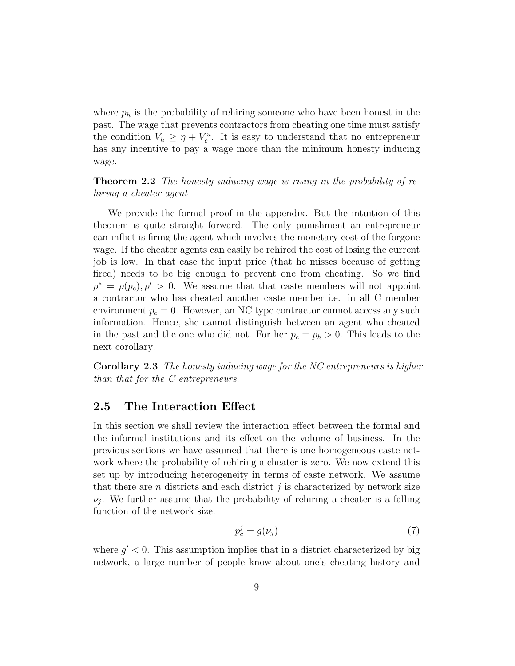where  $p_h$  is the probability of rehiring someone who have been honest in the past. The wage that prevents contractors from cheating one time must satisfy the condition  $V_h \geq \eta + V_c^u$ . It is easy to understand that no entrepreneur has any incentive to pay a wage more than the minimum honesty inducing wage.

**Theorem 2.2** The honesty inducing wage is rising in the probability of rehiring a cheater agent

We provide the formal proof in the appendix. But the intuition of this theorem is quite straight forward. The only punishment an entrepreneur can inflict is firing the agent which involves the monetary cost of the forgone wage. If the cheater agents can easily be rehired the cost of losing the current job is low. In that case the input price (that he misses because of getting fired) needs to be big enough to prevent one from cheating. So we find  $\rho^* = \rho(p_c), \rho' > 0$ . We assume that that caste members will not appoint a contractor who has cheated another caste member i.e. in all C member environment  $p_c = 0$ . However, an NC type contractor cannot access any such information. Hence, she cannot distinguish between an agent who cheated in the past and the one who did not. For her  $p_c = p_h > 0$ . This leads to the next corollary:

Corollary 2.3 The honesty inducing wage for the NC entrepreneurs is higher than that for the C entrepreneurs.

#### 2.5 The Interaction Effect

In this section we shall review the interaction effect between the formal and the informal institutions and its effect on the volume of business. In the previous sections we have assumed that there is one homogeneous caste network where the probability of rehiring a cheater is zero. We now extend this set up by introducing heterogeneity in terms of caste network. We assume that there are  $n$  districts and each district  $j$  is characterized by network size  $\nu_j$ . We further assume that the probability of rehiring a cheater is a falling function of the network size.

$$
p_c^j = g(\nu_j) \tag{7}
$$

where  $g' < 0$ . This assumption implies that in a district characterized by big network, a large number of people know about one's cheating history and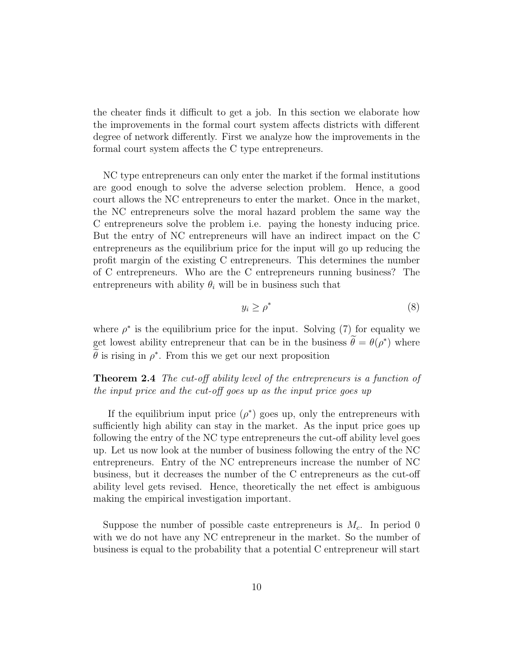the cheater finds it difficult to get a job. In this section we elaborate how the improvements in the formal court system affects districts with different degree of network differently. First we analyze how the improvements in the formal court system affects the C type entrepreneurs.

NC type entrepreneurs can only enter the market if the formal institutions are good enough to solve the adverse selection problem. Hence, a good court allows the NC entrepreneurs to enter the market. Once in the market, the NC entrepreneurs solve the moral hazard problem the same way the C entrepreneurs solve the problem i.e. paying the honesty inducing price. But the entry of NC entrepreneurs will have an indirect impact on the C entrepreneurs as the equilibrium price for the input will go up reducing the profit margin of the existing C entrepreneurs. This determines the number of C entrepreneurs. Who are the C entrepreneurs running business? The entrepreneurs with ability  $\theta_i$  will be in business such that

$$
y_i \ge \rho^* \tag{8}
$$

where  $\rho^*$  is the equilibrium price for the input. Solving (7) for equality we get lowest ability entrepreneur that can be in the business  $\hat{\theta} = \theta(\rho^*)$  where  $\hat{\theta}$  is rising in  $\rho^*$ . From this we get our next proposition

Theorem 2.4 The cut-off ability level of the entrepreneurs is a function of the input price and the cut-off goes up as the input price goes up

If the equilibrium input price  $(\rho^*)$  goes up, only the entrepreneurs with sufficiently high ability can stay in the market. As the input price goes up following the entry of the NC type entrepreneurs the cut-off ability level goes up. Let us now look at the number of business following the entry of the NC entrepreneurs. Entry of the NC entrepreneurs increase the number of NC business, but it decreases the number of the C entrepreneurs as the cut-off ability level gets revised. Hence, theoretically the net effect is ambiguous making the empirical investigation important.

Suppose the number of possible caste entrepreneurs is  $M_c$ . In period 0 with we do not have any NC entrepreneur in the market. So the number of business is equal to the probability that a potential C entrepreneur will start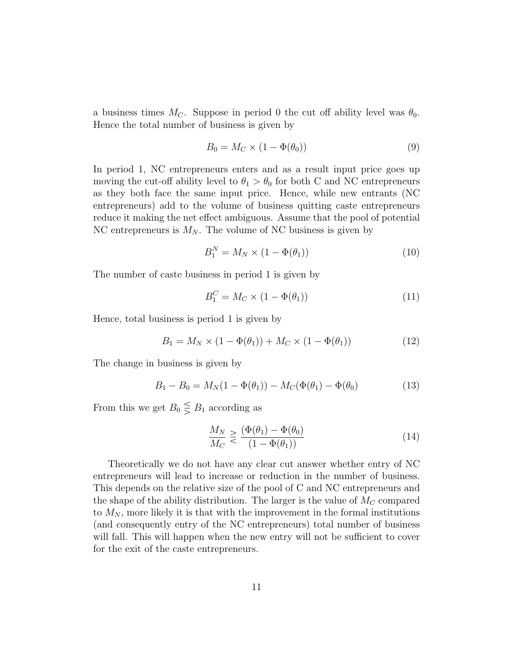a business times  $M_C$ . Suppose in period 0 the cut off ability level was  $\theta_0$ . Hence the total number of business is given by

$$
B_0 = M_C \times (1 - \Phi(\theta_0))
$$
\n<sup>(9)</sup>

In period 1, NC entrepreneurs enters and as a result input price goes up moving the cut-off ability level to  $\theta_1 > \theta_0$  for both C and NC entrepreneurs as they both face the same input price. Hence, while new entrants (NC entrepreneurs) add to the volume of business quitting caste entrepreneurs reduce it making the net effect ambiguous. Assume that the pool of potential NC entrepreneurs is  $M_N$ . The volume of NC business is given by

$$
B_1^N = M_N \times (1 - \Phi(\theta_1)) \tag{10}
$$

The number of caste business in period 1 is given by

$$
B_1^C = M_C \times (1 - \Phi(\theta_1)) \tag{11}
$$

Hence, total business is period 1 is given by

$$
B_1 = M_N \times (1 - \Phi(\theta_1)) + M_C \times (1 - \Phi(\theta_1))
$$
 (12)

The change in business is given by

$$
B_1 - B_0 = M_N(1 - \Phi(\theta_1)) - M_C(\Phi(\theta_1) - \Phi(\theta_0)
$$
 (13)

From this we get  $B_0 \leq B_1$  according as

$$
\frac{M_N}{M_C} \geq \frac{(\Phi(\theta_1) - \Phi(\theta_0))}{(1 - \Phi(\theta_1))}
$$
\n(14)

Theoretically we do not have any clear cut answer whether entry of NC entrepreneurs will lead to increase or reduction in the number of business. This depends on the relative size of the pool of C and NC entrepreneurs and the shape of the ability distribution. The larger is the value of  $M_C$  compared to  $M_N$ , more likely it is that with the improvement in the formal institutions (and consequently entry of the NC entrepreneurs) total number of business will fall. This will happen when the new entry will not be sufficient to cover for the exit of the caste entrepreneurs.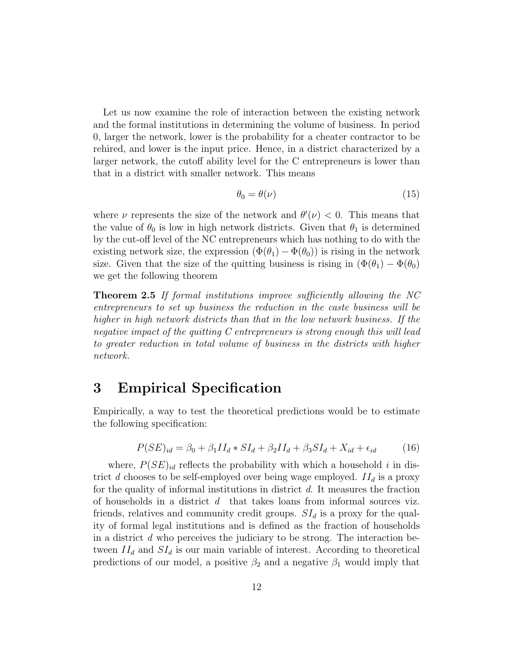Let us now examine the role of interaction between the existing network and the formal institutions in determining the volume of business. In period 0, larger the network, lower is the probability for a cheater contractor to be rehired, and lower is the input price. Hence, in a district characterized by a larger network, the cutoff ability level for the C entrepreneurs is lower than that in a district with smaller network. This means

$$
\theta_0 = \theta(\nu) \tag{15}
$$

where  $\nu$  represents the size of the network and  $\theta'(\nu) < 0$ . This means that the value of  $\theta_0$  is low in high network districts. Given that  $\theta_1$  is determined by the cut-off level of the NC entrepreneurs which has nothing to do with the existing network size, the expression  $(\Phi(\theta_1) - \Phi(\theta_0))$  is rising in the network size. Given that the size of the quitting business is rising in  $(\Phi(\theta_1) - \Phi(\theta_0))$ we get the following theorem

Theorem 2.5 If formal institutions improve sufficiently allowing the NC entrepreneurs to set up business the reduction in the caste business will be higher in high network districts than that in the low network business. If the negative impact of the quitting C entrepreneurs is strong enough this will lead to greater reduction in total volume of business in the districts with higher network.

### 3 Empirical Specification

Empirically, a way to test the theoretical predictions would be to estimate the following specification:

$$
P(SE)_{id} = \beta_0 + \beta_1 II_d * SI_d + \beta_2 II_d + \beta_3 SI_d + X_{id} + \epsilon_{id}
$$
 (16)

where,  $P(SE)_{id}$  reflects the probability with which a household i in district d chooses to be self-employed over being wage employed.  $II_d$  is a proxy for the quality of informal institutions in district  $d$ . It measures the fraction of households in a district  $d$  that takes loans from informal sources viz. friends, relatives and community credit groups.  $SI_d$  is a proxy for the quality of formal legal institutions and is defined as the fraction of households in a district  $d$  who perceives the judiciary to be strong. The interaction between  $II_d$  and  $SI_d$  is our main variable of interest. According to theoretical predictions of our model, a positive  $\beta_2$  and a negative  $\beta_1$  would imply that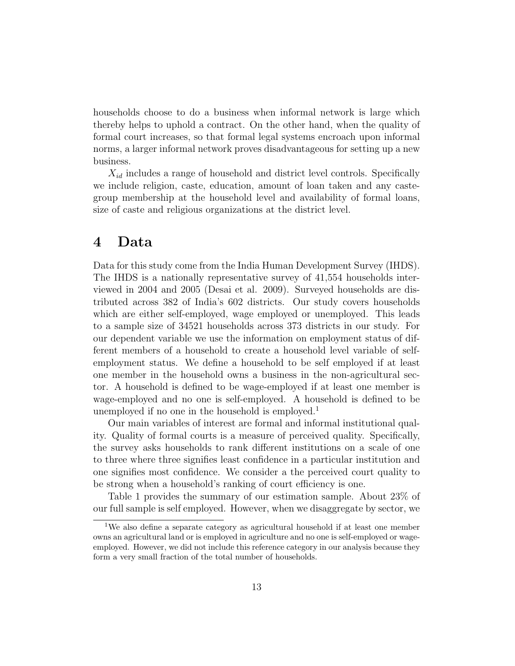households choose to do a business when informal network is large which thereby helps to uphold a contract. On the other hand, when the quality of formal court increases, so that formal legal systems encroach upon informal norms, a larger informal network proves disadvantageous for setting up a new business.

 $X_{id}$  includes a range of household and district level controls. Specifically we include religion, caste, education, amount of loan taken and any castegroup membership at the household level and availability of formal loans, size of caste and religious organizations at the district level.

### 4 Data

Data for this study come from the India Human Development Survey (IHDS). The IHDS is a nationally representative survey of 41,554 households interviewed in 2004 and 2005 (Desai et al. 2009). Surveyed households are distributed across 382 of India's 602 districts. Our study covers households which are either self-employed, wage employed or unemployed. This leads to a sample size of 34521 households across 373 districts in our study. For our dependent variable we use the information on employment status of different members of a household to create a household level variable of selfemployment status. We define a household to be self employed if at least one member in the household owns a business in the non-agricultural sector. A household is defined to be wage-employed if at least one member is wage-employed and no one is self-employed. A household is defined to be unemployed if no one in the household is employed.<sup>1</sup>

Our main variables of interest are formal and informal institutional quality. Quality of formal courts is a measure of perceived quality. Specifically, the survey asks households to rank different institutions on a scale of one to three where three signifies least confidence in a particular institution and one signifies most confidence. We consider a the perceived court quality to be strong when a household's ranking of court efficiency is one.

Table 1 provides the summary of our estimation sample. About 23% of our full sample is self employed. However, when we disaggregate by sector, we

<sup>&</sup>lt;sup>1</sup>We also define a separate category as agricultural household if at least one member owns an agricultural land or is employed in agriculture and no one is self-employed or wageemployed. However, we did not include this reference category in our analysis because they form a very small fraction of the total number of households.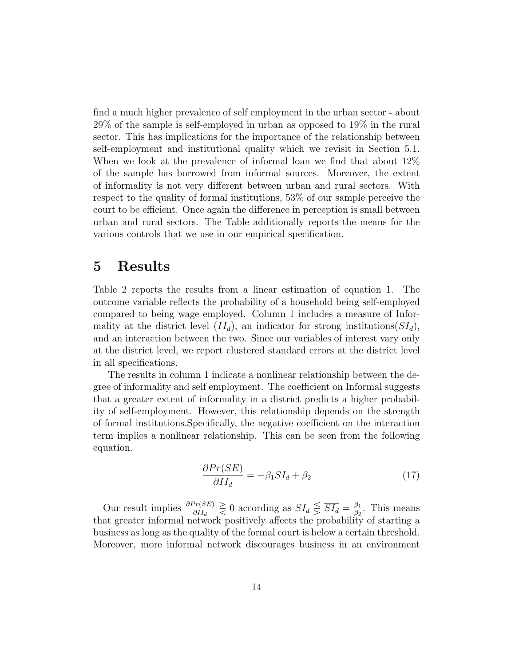find a much higher prevalence of self employment in the urban sector - about 29% of the sample is self-employed in urban as opposed to 19% in the rural sector. This has implications for the importance of the relationship between self-employment and institutional quality which we revisit in Section 5.1. When we look at the prevalence of informal loan we find that about  $12\%$ of the sample has borrowed from informal sources. Moreover, the extent of informality is not very different between urban and rural sectors. With respect to the quality of formal institutions, 53% of our sample perceive the court to be efficient. Once again the difference in perception is small between urban and rural sectors. The Table additionally reports the means for the various controls that we use in our empirical specification.

### 5 Results

Table 2 reports the results from a linear estimation of equation 1. The outcome variable reflects the probability of a household being self-employed compared to being wage employed. Column 1 includes a measure of Informality at the district level  $(II_d)$ , an indicator for strong institutions  $(SI_d)$ , and an interaction between the two. Since our variables of interest vary only at the district level, we report clustered standard errors at the district level in all specifications.

The results in column 1 indicate a nonlinear relationship between the degree of informality and self employment. The coefficient on Informal suggests that a greater extent of informality in a district predicts a higher probability of self-employment. However, this relationship depends on the strength of formal institutions.Specifically, the negative coefficient on the interaction term implies a nonlinear relationship. This can be seen from the following equation.

$$
\frac{\partial Pr(SE)}{\partial II_d} = -\beta_1 SI_d + \beta_2 \tag{17}
$$

Our result implies  $\frac{\partial Pr(SE)}{\partial H_d} \geq 0$  according as  $SI_d \leq \overline{SI_d} = \frac{\beta_1}{\beta_2}$  $\frac{\beta_1}{\beta_2}$ . This means that greater informal network positively affects the probability of starting a business as long as the quality of the formal court is below a certain threshold. Moreover, more informal network discourages business in an environment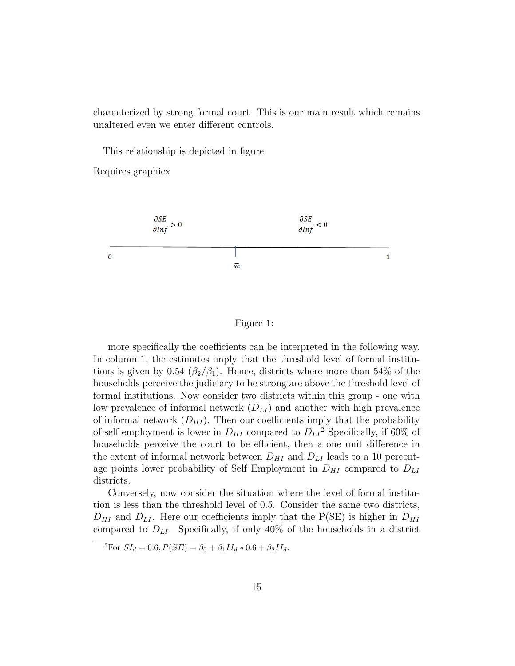characterized by strong formal court. This is our main result which remains unaltered even we enter different controls.

This relationship is depicted in figure

Requires graphicx



#### Figure 1:

more specifically the coefficients can be interpreted in the following way. In column 1, the estimates imply that the threshold level of formal institutions is given by 0.54 ( $\beta_2/\beta_1$ ). Hence, districts where more than 54% of the households perceive the judiciary to be strong are above the threshold level of formal institutions. Now consider two districts within this group - one with low prevalence of informal network  $(D_{LI})$  and another with high prevalence of informal network  $(D_{HI})$ . Then our coefficients imply that the probability of self employment is lower in  $D_{HI}$  compared to  $D_{LI}^2$  Specifically, if 60% of households perceive the court to be efficient, then a one unit difference in the extent of informal network between  $D_{HI}$  and  $D_{LI}$  leads to a 10 percentage points lower probability of Self Employment in  $D_{HI}$  compared to  $D_{LI}$ districts.

Conversely, now consider the situation where the level of formal institution is less than the threshold level of 0.5. Consider the same two districts,  $D_{HI}$  and  $D_{LI}$ . Here our coefficients imply that the P(SE) is higher in  $D_{HI}$ compared to  $D_{LI}$ . Specifically, if only 40% of the households in a district

 $^{2}$ For  $SI_{d} = 0.6, P(SE) = \beta_{0} + \beta_{1}II_{d} * 0.6 + \beta_{2}II_{d}$ .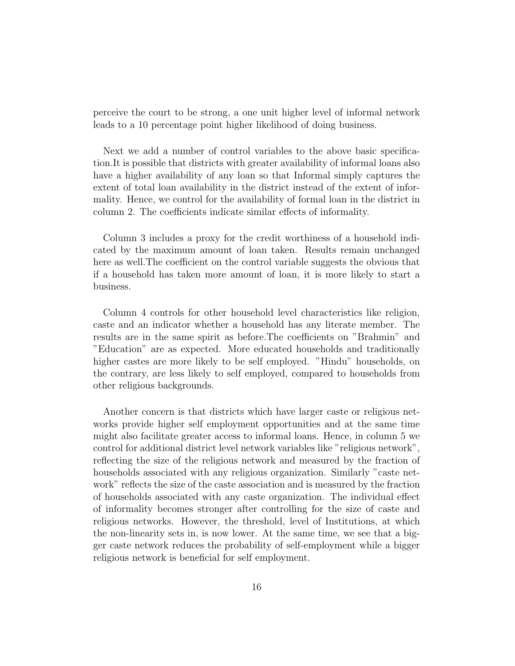perceive the court to be strong, a one unit higher level of informal network leads to a 10 percentage point higher likelihood of doing business.

Next we add a number of control variables to the above basic specification.It is possible that districts with greater availability of informal loans also have a higher availability of any loan so that Informal simply captures the extent of total loan availability in the district instead of the extent of informality. Hence, we control for the availability of formal loan in the district in column 2. The coefficients indicate similar effects of informality.

Column 3 includes a proxy for the credit worthiness of a household indicated by the maximum amount of loan taken. Results remain unchanged here as well.The coefficient on the control variable suggests the obvious that if a household has taken more amount of loan, it is more likely to start a business.

Column 4 controls for other household level characteristics like religion, caste and an indicator whether a household has any literate member. The results are in the same spirit as before.The coefficients on "Brahmin" and "Education" are as expected. More educated households and traditionally higher castes are more likely to be self employed. "Hindu" households, on the contrary, are less likely to self employed, compared to households from other religious backgrounds.

Another concern is that districts which have larger caste or religious networks provide higher self employment opportunities and at the same time might also facilitate greater access to informal loans. Hence, in column 5 we control for additional district level network variables like "religious network", reflecting the size of the religious network and measured by the fraction of households associated with any religious organization. Similarly "caste network" reflects the size of the caste association and is measured by the fraction of households associated with any caste organization. The individual effect of informality becomes stronger after controlling for the size of caste and religious networks. However, the threshold, level of Institutions, at which the non-linearity sets in, is now lower. At the same time, we see that a bigger caste network reduces the probability of self-employment while a bigger religious network is beneficial for self employment.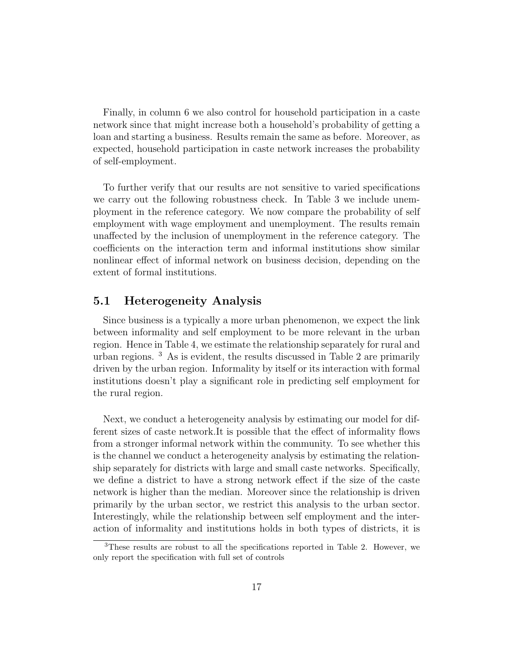Finally, in column 6 we also control for household participation in a caste network since that might increase both a household's probability of getting a loan and starting a business. Results remain the same as before. Moreover, as expected, household participation in caste network increases the probability of self-employment.

To further verify that our results are not sensitive to varied specifications we carry out the following robustness check. In Table 3 we include unemployment in the reference category. We now compare the probability of self employment with wage employment and unemployment. The results remain unaffected by the inclusion of unemployment in the reference category. The coefficients on the interaction term and informal institutions show similar nonlinear effect of informal network on business decision, depending on the extent of formal institutions.

#### 5.1 Heterogeneity Analysis

Since business is a typically a more urban phenomenon, we expect the link between informality and self employment to be more relevant in the urban region. Hence in Table 4, we estimate the relationship separately for rural and urban regions. <sup>3</sup> As is evident, the results discussed in Table 2 are primarily driven by the urban region. Informality by itself or its interaction with formal institutions doesn't play a significant role in predicting self employment for the rural region.

Next, we conduct a heterogeneity analysis by estimating our model for different sizes of caste network.It is possible that the effect of informality flows from a stronger informal network within the community. To see whether this is the channel we conduct a heterogeneity analysis by estimating the relationship separately for districts with large and small caste networks. Specifically, we define a district to have a strong network effect if the size of the caste network is higher than the median. Moreover since the relationship is driven primarily by the urban sector, we restrict this analysis to the urban sector. Interestingly, while the relationship between self employment and the interaction of informality and institutions holds in both types of districts, it is

<sup>3</sup>These results are robust to all the specifications reported in Table 2. However, we only report the specification with full set of controls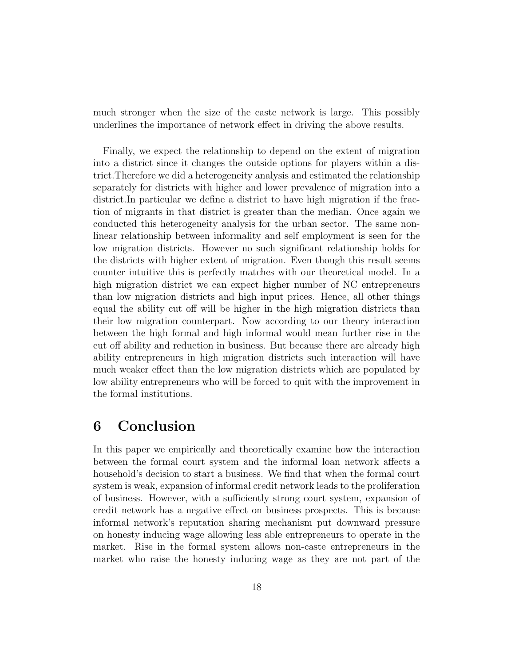much stronger when the size of the caste network is large. This possibly underlines the importance of network effect in driving the above results.

Finally, we expect the relationship to depend on the extent of migration into a district since it changes the outside options for players within a district.Therefore we did a heterogeneity analysis and estimated the relationship separately for districts with higher and lower prevalence of migration into a district.In particular we define a district to have high migration if the fraction of migrants in that district is greater than the median. Once again we conducted this heterogeneity analysis for the urban sector. The same nonlinear relationship between informality and self employment is seen for the low migration districts. However no such significant relationship holds for the districts with higher extent of migration. Even though this result seems counter intuitive this is perfectly matches with our theoretical model. In a high migration district we can expect higher number of NC entrepreneurs than low migration districts and high input prices. Hence, all other things equal the ability cut off will be higher in the high migration districts than their low migration counterpart. Now according to our theory interaction between the high formal and high informal would mean further rise in the cut off ability and reduction in business. But because there are already high ability entrepreneurs in high migration districts such interaction will have much weaker effect than the low migration districts which are populated by low ability entrepreneurs who will be forced to quit with the improvement in the formal institutions.

### 6 Conclusion

In this paper we empirically and theoretically examine how the interaction between the formal court system and the informal loan network affects a household's decision to start a business. We find that when the formal court system is weak, expansion of informal credit network leads to the proliferation of business. However, with a sufficiently strong court system, expansion of credit network has a negative effect on business prospects. This is because informal network's reputation sharing mechanism put downward pressure on honesty inducing wage allowing less able entrepreneurs to operate in the market. Rise in the formal system allows non-caste entrepreneurs in the market who raise the honesty inducing wage as they are not part of the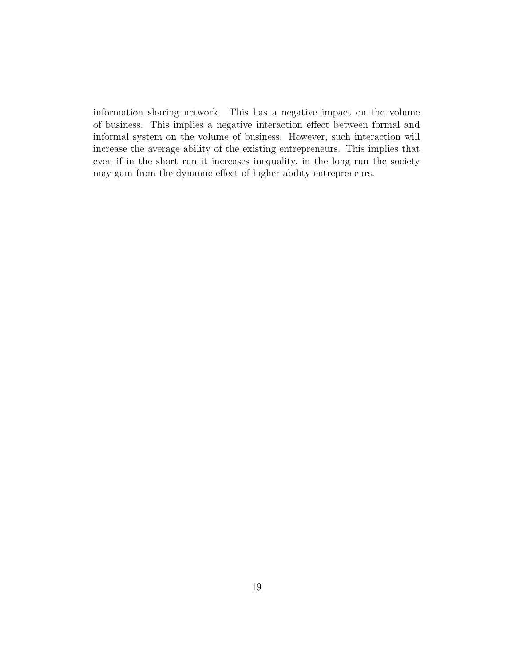information sharing network. This has a negative impact on the volume of business. This implies a negative interaction effect between formal and informal system on the volume of business. However, such interaction will increase the average ability of the existing entrepreneurs. This implies that even if in the short run it increases inequality, in the long run the society may gain from the dynamic effect of higher ability entrepreneurs.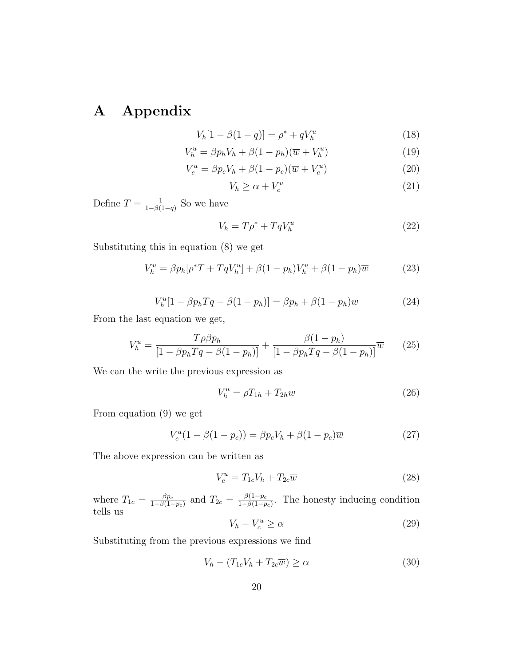# A Appendix

$$
V_h[1 - \beta(1 - q)] = \rho^* + qV_h^u \tag{18}
$$

$$
V_h^u = \beta p_h V_h + \beta (1 - p_h)(\overline{w} + V_h^u)
$$
\n(19)

$$
V_c^u = \beta p_c V_h + \beta (1 - p_c)(\overline{w} + V_c^u)
$$
\n
$$
(20)
$$

$$
V_h \ge \alpha + V_c^u \tag{21}
$$

Define  $T = \frac{1}{1 - \beta}$  $\frac{1}{1-\beta(1-q)}$  So we have

$$
V_h = T\rho^* + TqV_h^u \tag{22}
$$

Substituting this in equation (8) we get

$$
V_h^u = \beta p_h [\rho^* T + T q V_h^u] + \beta (1 - p_h) V_h^u + \beta (1 - p_h) \overline{w}
$$
 (23)

$$
V_h^u[1 - \beta p_h Tq - \beta (1 - p_h)] = \beta p_h + \beta (1 - p_h)\overline{w}
$$
 (24)

From the last equation we get,

$$
V_h^u = \frac{T\rho\beta p_h}{[1 - \beta p_h Tq - \beta(1 - p_h)]} + \frac{\beta(1 - p_h)}{[1 - \beta p_h Tq - \beta(1 - p_h)]}\overline{w}
$$
 (25)

We can the write the previous expression as

$$
V_h^u = \rho T_{1h} + T_{2h}\overline{w}
$$
\n<sup>(26)</sup>

From equation (9) we get

$$
V_c^u(1 - \beta(1 - p_c)) = \beta p_c V_h + \beta (1 - p_c) \overline{w}
$$
 (27)

The above expression can be written as

$$
V_c^u = T_{1c}V_h + T_{2c}\overline{w}
$$
\n<sup>(28)</sup>

where  $T_{1c} = \frac{\beta p_c}{1 - \beta (1 - \beta)}$  $\frac{\beta p_c}{1-\beta(1-p_c)}$  and  $T_{2c} = \frac{\beta(1-p_c)}{1-\beta(1-p_c)}$  $\frac{\beta(1-p_c)}{1-\beta(1-p_c)}$ . The honesty inducing condition tells us

$$
V_h - V_c^u \ge \alpha \tag{29}
$$

Substituting from the previous expressions we find

$$
V_h - (T_{1c}V_h + T_{2c}\overline{w}) \ge \alpha \tag{30}
$$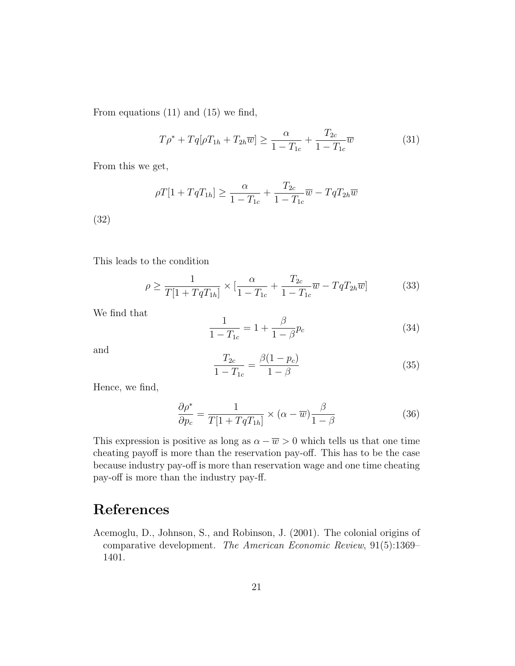From equations (11) and (15) we find,

$$
T\rho^* + Tq[\rho T_{1h} + T_{2h}\overline{w}] \ge \frac{\alpha}{1 - T_{1c}} + \frac{T_{2c}}{1 - T_{1c}}\overline{w}
$$
(31)

From this we get,

$$
\rho T[1 + TqT_{1h}] \ge \frac{\alpha}{1 - T_{1c}} + \frac{T_{2c}}{1 - T_{1c}}\overline{w} - TqT_{2h}\overline{w}
$$

(32)

This leads to the condition

$$
\rho \ge \frac{1}{T[1+TqT_{1h}]} \times \left[\frac{\alpha}{1-T_{1c}} + \frac{T_{2c}}{1-T_{1c}}\overline{w} - TqT_{2h}\overline{w}\right]
$$
(33)

We find that

$$
\frac{1}{1 - T_{1c}} = 1 + \frac{\beta}{1 - \beta} p_c \tag{34}
$$

and

$$
\frac{T_{2c}}{1 - T_{1c}} = \frac{\beta (1 - p_c)}{1 - \beta} \tag{35}
$$

Hence, we find,

$$
\frac{\partial \rho^*}{\partial p_c} = \frac{1}{T[1 + TqT_{1h}]} \times (\alpha - \overline{w}) \frac{\beta}{1 - \beta}
$$
(36)

This expression is positive as long as  $\alpha - \overline{w} > 0$  which tells us that one time cheating payoff is more than the reservation pay-off. This has to be the case because industry pay-off is more than reservation wage and one time cheating pay-off is more than the industry pay-ff.

## References

Acemoglu, D., Johnson, S., and Robinson, J. (2001). The colonial origins of comparative development. The American Economic Review, 91(5):1369– 1401.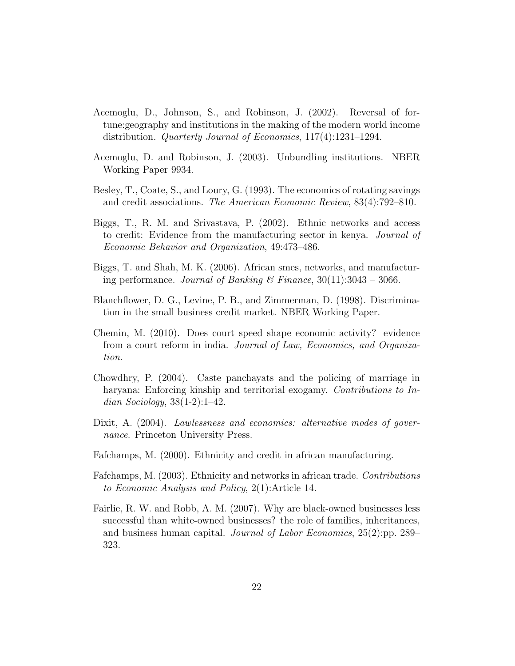- Acemoglu, D., Johnson, S., and Robinson, J. (2002). Reversal of fortune:geography and institutions in the making of the modern world income distribution. Quarterly Journal of Economics, 117(4):1231–1294.
- Acemoglu, D. and Robinson, J. (2003). Unbundling institutions. NBER Working Paper 9934.
- Besley, T., Coate, S., and Loury, G. (1993). The economics of rotating savings and credit associations. The American Economic Review, 83(4):792–810.
- Biggs, T., R. M. and Srivastava, P. (2002). Ethnic networks and access to credit: Evidence from the manufacturing sector in kenya. Journal of Economic Behavior and Organization, 49:473–486.
- Biggs, T. and Shah, M. K. (2006). African smes, networks, and manufacturing performance. Journal of Banking & Finance,  $30(11):3043 - 3066$ .
- Blanchflower, D. G., Levine, P. B., and Zimmerman, D. (1998). Discrimination in the small business credit market. NBER Working Paper.
- Chemin, M. (2010). Does court speed shape economic activity? evidence from a court reform in india. Journal of Law, Economics, and Organization.
- Chowdhry, P. (2004). Caste panchayats and the policing of marriage in haryana: Enforcing kinship and territorial exogamy. Contributions to Indian Sociology,  $38(1-2)$ :1-42.
- Dixit, A. (2004). Lawlessness and economics: alternative modes of governance. Princeton University Press.
- Fafchamps, M. (2000). Ethnicity and credit in african manufacturing.
- Fafchamps, M. (2003). Ethnicity and networks in african trade. Contributions to Economic Analysis and Policy, 2(1):Article 14.
- Fairlie, R. W. and Robb, A. M. (2007). Why are black-owned businesses less successful than white-owned businesses? the role of families, inheritances, and business human capital. Journal of Labor Economics, 25(2):pp. 289– 323.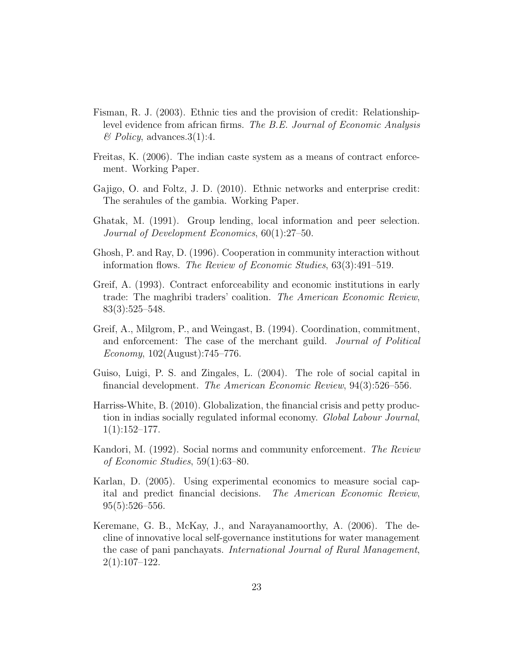- Fisman, R. J. (2003). Ethnic ties and the provision of credit: Relationshiplevel evidence from african firms. The B.E. Journal of Economic Analysis  $\mathcal{B}$  Policy, advances. 3(1):4.
- Freitas, K. (2006). The indian caste system as a means of contract enforcement. Working Paper.
- Gajigo, O. and Foltz, J. D. (2010). Ethnic networks and enterprise credit: The serahules of the gambia. Working Paper.
- Ghatak, M. (1991). Group lending, local information and peer selection. Journal of Development Economics, 60(1):27–50.
- Ghosh, P. and Ray, D. (1996). Cooperation in community interaction without information flows. The Review of Economic Studies, 63(3):491–519.
- Greif, A. (1993). Contract enforceability and economic institutions in early trade: The maghribi traders' coalition. The American Economic Review, 83(3):525–548.
- Greif, A., Milgrom, P., and Weingast, B. (1994). Coordination, commitment, and enforcement: The case of the merchant guild. *Journal of Political* Economy, 102(August):745–776.
- Guiso, Luigi, P. S. and Zingales, L. (2004). The role of social capital in financial development. The American Economic Review, 94(3):526–556.
- Harriss-White, B. (2010). Globalization, the financial crisis and petty production in indias socially regulated informal economy. Global Labour Journal,  $1(1):152-177.$
- Kandori, M. (1992). Social norms and community enforcement. The Review of Economic Studies, 59(1):63–80.
- Karlan, D. (2005). Using experimental economics to measure social capital and predict financial decisions. The American Economic Review,  $95(5):526-556.$
- Keremane, G. B., McKay, J., and Narayanamoorthy, A. (2006). The decline of innovative local self-governance institutions for water management the case of pani panchayats. International Journal of Rural Management, 2(1):107–122.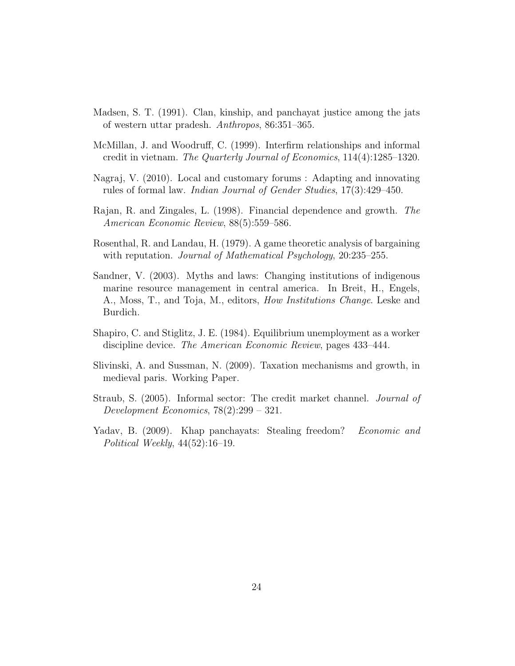- Madsen, S. T. (1991). Clan, kinship, and panchayat justice among the jats of western uttar pradesh. Anthropos, 86:351–365.
- McMillan, J. and Woodruff, C. (1999). Interfirm relationships and informal credit in vietnam. The Quarterly Journal of Economics, 114(4):1285–1320.
- Nagraj, V. (2010). Local and customary forums : Adapting and innovating rules of formal law. Indian Journal of Gender Studies, 17(3):429–450.
- Rajan, R. and Zingales, L. (1998). Financial dependence and growth. The American Economic Review, 88(5):559–586.
- Rosenthal, R. and Landau, H. (1979). A game theoretic analysis of bargaining with reputation. *Journal of Mathematical Psychology*, 20:235–255.
- Sandner, V. (2003). Myths and laws: Changing institutions of indigenous marine resource management in central america. In Breit, H., Engels, A., Moss, T., and Toja, M., editors, How Institutions Change. Leske and Burdich.
- Shapiro, C. and Stiglitz, J. E. (1984). Equilibrium unemployment as a worker discipline device. *The American Economic Review*, pages 433–444.
- Slivinski, A. and Sussman, N. (2009). Taxation mechanisms and growth, in medieval paris. Working Paper.
- Straub, S. (2005). Informal sector: The credit market channel. Journal of Development Economics, 78(2):299 – 321.
- Yadav, B. (2009). Khap panchayats: Stealing freedom? Economic and Political Weekly, 44(52):16–19.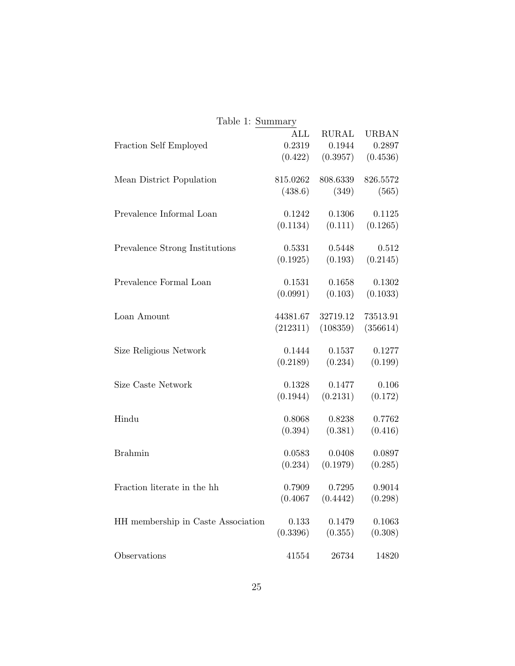| Table 1: Summary                   |                |              |              |
|------------------------------------|----------------|--------------|--------------|
|                                    | $\mathrm{ALL}$ | <b>RURAL</b> | <b>URBAN</b> |
| Fraction Self Employed             | 0.2319         | 0.1944       | 0.2897       |
|                                    | (0.422)        | (0.3957)     | (0.4536)     |
|                                    |                |              |              |
| Mean District Population           | 815.0262       | 808.6339     | 826.5572     |
|                                    | (438.6)        | (349)        | (565)        |
|                                    | 0.1242         |              |              |
| Prevalence Informal Loan           |                | 0.1306       | 0.1125       |
|                                    | (0.1134)       | (0.111)      | (0.1265)     |
| Prevalence Strong Institutions     | 0.5331         | 0.5448       | 0.512        |
|                                    | (0.1925)       | (0.193)      | (0.2145)     |
|                                    |                |              |              |
| Prevalence Formal Loan             | 0.1531         | 0.1658       | 0.1302       |
|                                    | (0.0991)       | (0.103)      | (0.1033)     |
|                                    |                |              |              |
| Loan Amount                        | 44381.67       | 32719.12     | 73513.91     |
|                                    | (212311)       | (108359)     | (356614)     |
| Size Religious Network             | 0.1444         | 0.1537       | 0.1277       |
|                                    | (0.2189)       | (0.234)      | (0.199)      |
|                                    |                |              |              |
| Size Caste Network                 | 0.1328         | 0.1477       | 0.106        |
|                                    | (0.1944)       | (0.2131)     | (0.172)      |
|                                    |                |              |              |
| Hindu                              | 0.8068         | 0.8238       | 0.7762       |
|                                    | (0.394)        | (0.381)      | (0.416)      |
| <b>Brahmin</b>                     | 0.0583         | 0.0408       |              |
|                                    |                |              | 0.0897       |
|                                    | (0.234)        | (0.1979)     | (0.285)      |
| Fraction literate in the hh        | 0.7909         | 0.7295       | 0.9014       |
|                                    | (0.4067)       | (0.4442)     | (0.298)      |
|                                    |                |              |              |
| HH membership in Caste Association | 0.133          | 0.1479       | 0.1063       |
|                                    | (0.3396)       | (0.355)      | (0.308)      |
|                                    |                |              |              |
| Observations                       | 41554          | 26734        | 14820        |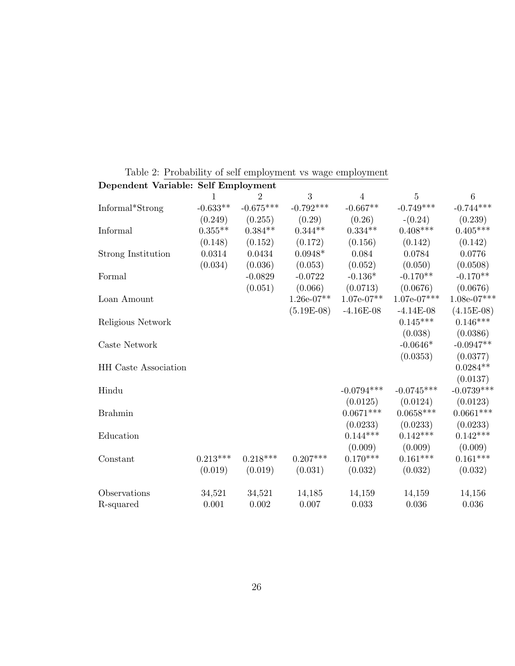| Dependent Variable: Self Employment |            |             |              |                |               |                  |
|-------------------------------------|------------|-------------|--------------|----------------|---------------|------------------|
|                                     |            | 2           | 3            | $\overline{4}$ | 5             | $\boldsymbol{6}$ |
| Informal*Strong                     | $-0.633**$ | $-0.675***$ | $-0.792***$  | $-0.667**$     | $-0.749***$   | $-0.744***$      |
|                                     | (0.249)    | (0.255)     | (0.29)       | (0.26)         | $-(0.24)$     | (0.239)          |
| Informal                            | $0.355**$  | $0.384**$   | $0.344**$    | $0.334**$      | $0.408***$    | $0.405***$       |
|                                     | (0.148)    | (0.152)     | (0.172)      | (0.156)        | (0.142)       | (0.142)          |
| Strong Institution                  | 0.0314     | 0.0434      | $0.0948*$    | 0.084          | 0.0784        | 0.0776           |
|                                     | (0.034)    | (0.036)     | (0.053)      | (0.052)        | (0.050)       | (0.0508)         |
| Formal                              |            | $-0.0829$   | $-0.0722$    | $-0.136*$      | $-0.170**$    | $-0.170**$       |
|                                     |            | (0.051)     | (0.066)      | (0.0713)       | (0.0676)      | (0.0676)         |
| Loan Amount                         |            |             | $1.26e-07**$ | $1.07e-07**$   | $1.07e-07***$ | $1.08e-07***$    |
|                                     |            |             | $(5.19E-08)$ | $-4.16E-08$    | $-4.14E-08$   | $(4.15E-08)$     |
| Religious Network                   |            |             |              |                | $0.145***$    | $0.146***$       |
|                                     |            |             |              |                | (0.038)       | (0.0386)         |
| Caste Network                       |            |             |              |                | $-0.0646*$    | $-0.0947**$      |
|                                     |            |             |              |                | (0.0353)      | (0.0377)         |
| <b>HH</b> Caste Association         |            |             |              |                |               | $0.0284**$       |
|                                     |            |             |              |                |               | (0.0137)         |
| Hindu                               |            |             |              | $-0.0794***$   | $-0.0745***$  | $-0.0739***$     |
|                                     |            |             |              | (0.0125)       | (0.0124)      | (0.0123)         |
| <b>Brahmin</b>                      |            |             |              | $0.0671***$    | $0.0658***$   | $0.0661***$      |
|                                     |            |             |              | (0.0233)       | (0.0233)      | (0.0233)         |
| Education                           |            |             |              | $0.144***$     | $0.142***$    | $0.142***$       |
|                                     |            |             |              | (0.009)        | (0.009)       | (0.009)          |
| Constant                            | $0.213***$ | $0.218***$  | $0.207***$   | $0.170***$     | $0.161***$    | $0.161^{***}\,$  |
|                                     | (0.019)    | (0.019)     | (0.031)      | (0.032)        | (0.032)       | (0.032)          |
| Observations                        | 34,521     | 34,521      | 14,185       | 14,159         | 14,159        | 14,156           |
| R-squared                           | 0.001      | 0.002       | 0.007        | 0.033          | 0.036         | 0.036            |

Table 2: Probability of self employment vs wage employment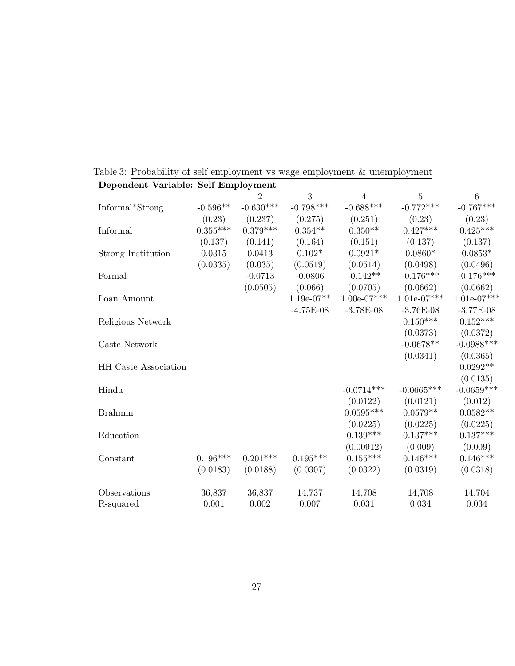| Dependent Variable: Self Employment |            |             |              |                 |               |               |
|-------------------------------------|------------|-------------|--------------|-----------------|---------------|---------------|
|                                     |            | 2           | 3            | 4               | 5             | $\,6$         |
| Informal*Strong                     | $-0.596**$ | $-0.630***$ | $-0.798***$  | $-0.688***$     | $-0.772***$   | $-0.767***$   |
|                                     | (0.23)     | (0.237)     | (0.275)      | (0.251)         | (0.23)        | (0.23)        |
| Informal                            | $0.355***$ | $0.379***$  | $0.354**$    | $0.350**$       | $0.427***$    | $0.425***$    |
|                                     | (0.137)    | (0.141)     | (0.164)      | (0.151)         | (0.137)       | (0.137)       |
| Strong Institution                  | 0.0315     | 0.0413      | $0.102*$     | $0.0921*$       | $0.0860*$     | $0.0853*$     |
|                                     | (0.0335)   | (0.035)     | (0.0519)     | (0.0514)        | (0.0498)      | (0.0496)      |
| Formal                              |            | $-0.0713$   | $-0.0806$    | $-0.142**$      | $-0.176***$   | $-0.176***$   |
|                                     |            | (0.0505)    | (0.066)      | (0.0705)        | (0.0662)      | (0.0662)      |
| Loan Amount                         |            |             | $1.19e-07**$ | $1.00e-07***$   | $1.01e-07***$ | $1.01e-07***$ |
|                                     |            |             | $-4.75E-08$  | $-3.78E-08$     | $-3.76E-08$   | $-3.77E-08$   |
| Religious Network                   |            |             |              |                 | $0.150***$    | $0.152***$    |
|                                     |            |             |              |                 | (0.0373)      | (0.0372)      |
| Caste Network                       |            |             |              |                 | $-0.0678**$   | $-0.0988***$  |
|                                     |            |             |              |                 | (0.0341)      | (0.0365)      |
| <b>HH</b> Caste Association         |            |             |              |                 |               | $0.0292**$    |
|                                     |            |             |              |                 |               | (0.0135)      |
| Hindu                               |            |             |              | $-0.0714***$    | $-0.0665***$  | $-0.0659***$  |
|                                     |            |             |              | (0.0122)        | (0.0121)      | (0.012)       |
| <b>Brahmin</b>                      |            |             |              | $0.0595***$     | $0.0579**$    | $0.0582**$    |
|                                     |            |             |              | (0.0225)        | (0.0225)      | (0.0225)      |
| Education                           |            |             |              | $0.139***$      | $0.137***$    | $0.137***$    |
|                                     |            |             |              | (0.00912)       | (0.009)       | (0.009)       |
| Constant                            | $0.196***$ | $0.201***$  | $0.195***$   | $0.155^{***}\,$ | $0.146***$    | $0.146***$    |
|                                     | (0.0183)   | (0.0188)    | (0.0307)     | (0.0322)        | (0.0319)      | (0.0318)      |
| Observations                        | 36,837     | 36,837      | 14,737       | 14,708          | 14,708        | 14,704        |
| R-squared                           | 0.001      | 0.002       | 0.007        | 0.031           | 0.034         | 0.034         |

Table 3: Probability of self employment vs wage employment & unemployment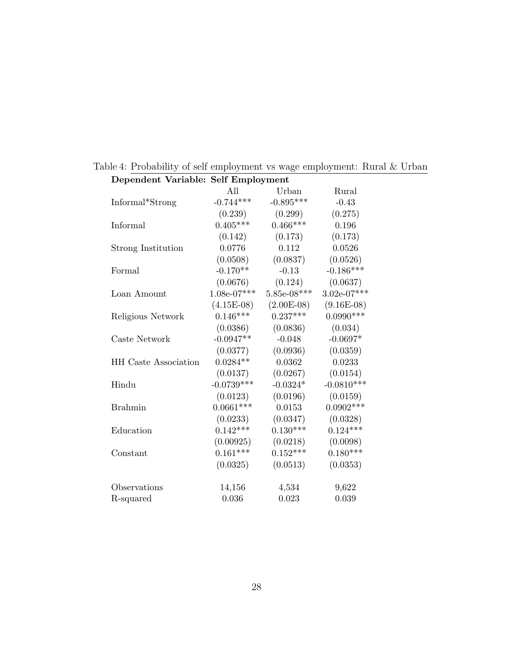| Dependent Variable: Self Employment |               |               |               |
|-------------------------------------|---------------|---------------|---------------|
|                                     | All           | Urban         | Rural         |
| Informal*Strong                     | $-0.744***$   | $-0.895***$   | $-0.43$       |
|                                     | (0.239)       | (0.299)       | (0.275)       |
| Informal                            | $0.405***$    | $0.466***$    | 0.196         |
|                                     | (0.142)       | (0.173)       | (0.173)       |
| <b>Strong Institution</b>           | 0.0776        | 0.112         | 0.0526        |
|                                     | (0.0508)      | (0.0837)      | (0.0526)      |
| Formal                              | $-0.170**$    | $-0.13$       | $-0.186***$   |
|                                     | (0.0676)      | (0.124)       | (0.0637)      |
| Loan Amount                         | $1.08e-07***$ | $5.85e-08***$ | $3.02e-07***$ |
|                                     | $(4.15E-08)$  | $(2.00E-08)$  | $(9.16E-08)$  |
| Religious Network                   | $0.146***$    | $0.237***$    | $0.0990***$   |
|                                     | (0.0386)      | (0.0836)      | (0.034)       |
| Caste Network                       | $-0.0947**$   | $-0.048$      | $-0.0697*$    |
|                                     | (0.0377)      | (0.0936)      | (0.0359)      |
| <b>HH</b> Caste Association         | $0.0284**$    | 0.0362        | 0.0233        |
|                                     | (0.0137)      | (0.0267)      | (0.0154)      |
| Hindu                               | $-0.0739***$  | $-0.0324*$    | $-0.0810***$  |
|                                     | (0.0123)      | (0.0196)      | (0.0159)      |
| <b>Brahmin</b>                      | $0.0661***$   | 0.0153        | $0.0902***$   |
|                                     | (0.0233)      | (0.0347)      | (0.0328)      |
| Education                           | $0.142***$    | $0.130***$    | $0.124***$    |
|                                     | (0.00925)     | (0.0218)      | (0.0098)      |
| Constant                            | $0.161***$    | $0.152***$    | $0.180***$    |
|                                     | (0.0325)      | (0.0513)      | (0.0353)      |
| Observations                        | 14,156        | 4,534         | 9,622         |
| R-squared                           | 0.036         | 0.023         | 0.039         |

Table 4: Probability of self employment vs wage employment: Rural & Urban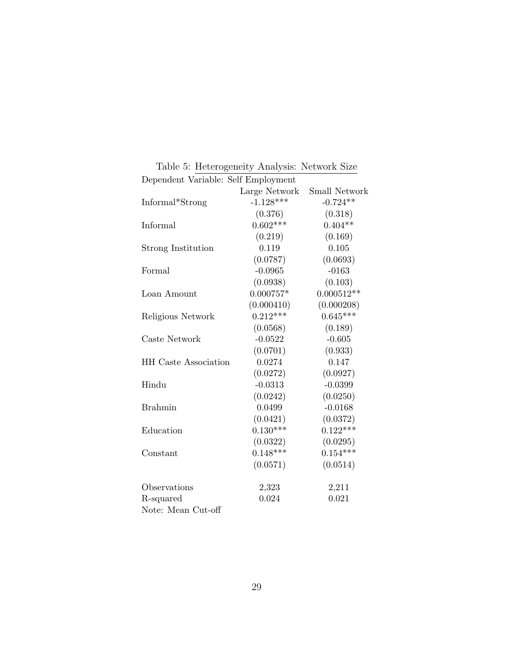| Dependent Variable: Self Employment |               |               |
|-------------------------------------|---------------|---------------|
|                                     | Large Network | Small Network |
| Informal*Strong                     | $-1.128***$   | $-0.724**$    |
|                                     | (0.376)       | (0.318)       |
| Informal                            | $0.602***$    | $0.404**$     |
|                                     | (0.219)       | (0.169)       |
| <b>Strong Institution</b>           | 0.119         | 0.105         |
|                                     | (0.0787)      | (0.0693)      |
| Formal                              | $-0.0965$     | $-0163$       |
|                                     | (0.0938)      | (0.103)       |
| Loan Amount                         | $0.000757*$   | $0.000512**$  |
|                                     | (0.000410)    | (0.000208)    |
| Religious Network                   | $0.212***$    | $0.645***$    |
|                                     | (0.0568)      | (0.189)       |
| Caste Network                       | $-0.0522$     | $-0.605$      |
|                                     | (0.0701)      | (0.933)       |
| <b>HH</b> Caste Association         | 0.0274        | 0.147         |
|                                     | (0.0272)      | (0.0927)      |
| Hindu                               | $-0.0313$     | $-0.0399$     |
|                                     | (0.0242)      | (0.0250)      |
| <b>Brahmin</b>                      | 0.0499        | $-0.0168$     |
|                                     | (0.0421)      | (0.0372)      |
| Education                           | $0.130***$    | $0.122***$    |
|                                     | (0.0322)      | (0.0295)      |
| Constant                            | $0.148***$    | $0.154***$    |
|                                     | (0.0571)      | (0.0514)      |
| Observations                        | 2,323         | 2,211         |
| R-squared                           | 0.024         | 0.021         |
| Note: Mean Cut-off                  |               |               |

Table 5: Heterogeneity Analysis: Network Size